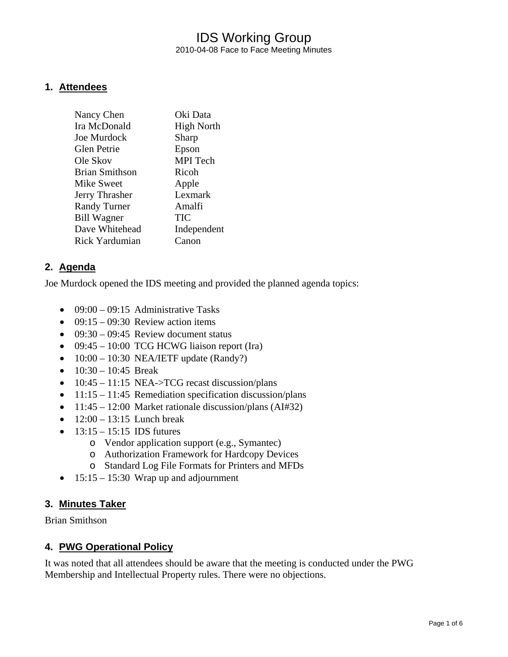## IDS Working Group 2010-04-08 Face to Face Meeting Minutes

### **1. Attendees**

| Oki Data          |
|-------------------|
| <b>High North</b> |
| Sharp             |
| Epson             |
| <b>MPI</b> Tech   |
| Ricoh             |
| Apple             |
| Lexmark           |
| Amalfi            |
| TIC               |
| Independent       |
| Canon             |
|                   |

### **2. Agenda**

Joe Murdock opened the IDS meeting and provided the planned agenda topics:

- $\bullet$  09:00 09:15 Administrative Tasks
- $09:15 09:30$  Review action items
- $09:30 09:45$  Review document status
- 09:45 10:00 TCG HCWG liaison report (Ira)
- $\bullet$  10:00 10:30 NEA/IETF update (Randy?)
- $10:30 10:45$  Break
- $10:45 11:15$  NEA- $>TCG$  recast discussion/plans
- $11:15 11:45$  Remediation specification discussion/plans
- $11:45 12:00$  Market rationale discussion/plans (AI#32)
- $12:00 13:15$  Lunch break
- $13:15 15:15$  IDS futures
	- o Vendor application support (e.g., Symantec)
	- o Authorization Framework for Hardcopy Devices
	- o Standard Log File Formats for Printers and MFDs
- $\bullet$  15:15 15:30 Wrap up and adjournment

### **3. Minutes Taker**

Brian Smithson

### **4. PWG Operational Policy**

It was noted that all attendees should be aware that the meeting is conducted under the PWG Membership and Intellectual Property rules. There were no objections.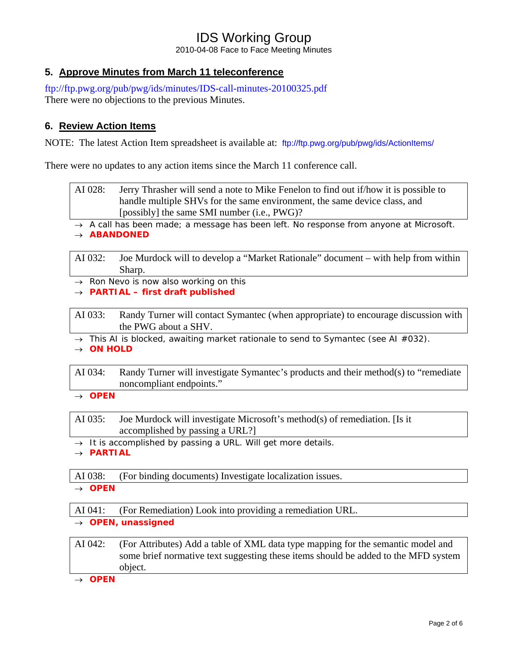2010-04-08 Face to Face Meeting Minutes

## **5. Approve Minutes from March 11 teleconference**

<ftp://ftp.pwg.org/pub/pwg/ids/minutes/IDS-call-minutes-20100325.pdf> There were no objections to the previous Minutes.

## **6. Review Action Items**

NOTE: The latest Action Item spreadsheet is available at: <ftp://ftp.pwg.org/pub/pwg/ids/ActionItems/>

There were no updates to any action items since the March 11 conference call.

AI 028: Jerry Thrasher will send a note to Mike Fenelon to find out if/how it is possible to handle multiple SHVs for the same environment, the same device class, and [possibly] the same SMI number (i.e., PWG)?

→ *A call has been made; a message has been left. No response from anyone at Microsoft.*  → *ABANDONED* 

AI 032: Joe Murdock will to develop a "Market Rationale" document – with help from within Sharp.

→ *Ron Nevo is now also working on this*

→ *PARTIAL – first draft published* 

AI 033: Randy Turner will contact Symantec (when appropriate) to encourage discussion with the PWG about a SHV.

→ *This AI is blocked, awaiting market rationale to send to Symantec (see AI #032).* → *ON HOLD* 

AI 034: Randy Turner will investigate Symantec's products and their method(s) to "remediate noncompliant endpoints."

→ *OPEN* 

AI 035: Joe Murdock will investigate Microsoft's method(s) of remediation. [Is it accomplished by passing a URL?]

→ *It is accomplished by passing a URL. Will get more details.*

→ *PARTIAL* 

AI 038: (For binding documents) Investigate localization issues.

→ *OPEN* 

AI 041: (For Remediation) Look into providing a remediation URL.

→ *OPEN, unassigned* 

AI 042: (For Attributes) Add a table of XML data type mapping for the semantic model and some brief normative text suggesting these items should be added to the MFD system object.

→ *OPEN*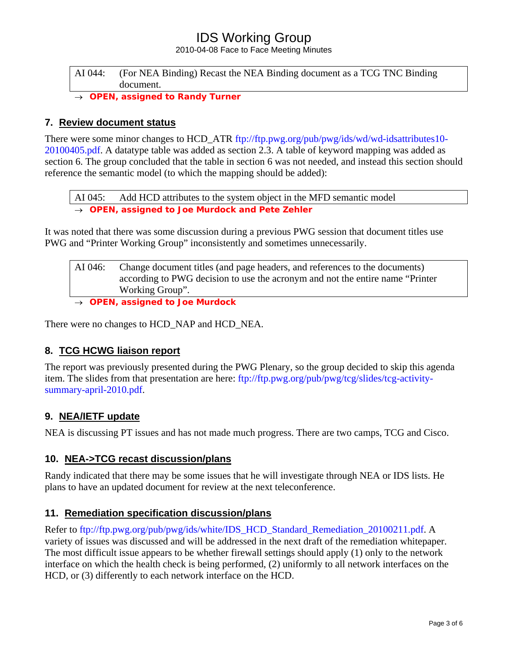2010-04-08 Face to Face Meeting Minutes

### AI 044: (For NEA Binding) Recast the NEA Binding document as a TCG TNC Binding document.

**OPEN, assigned to Randy Turner** 

### **7. Review document status**

There were some minor changes to HCD\_ATR [ftp://ftp.pwg.org/pub/pwg/ids/wd/wd-idsattributes10-](ftp://ftp.pwg.org/pub/pwg/ids/wd/wd-idsattributes10-20100405.pdf) [20100405.pdf.](ftp://ftp.pwg.org/pub/pwg/ids/wd/wd-idsattributes10-20100405.pdf) A datatype table was added as section 2.3. A table of keyword mapping was added as section 6. The group concluded that the table in section 6 was not needed, and instead this section should reference the semantic model (to which the mapping should be added):

AI 045: Add HCD attributes to the system object in the MFD semantic model → *OPEN, assigned to Joe Murdock and Pete Zehler* 

It was noted that there was some discussion during a previous PWG session that document titles use PWG and "Printer Working Group" inconsistently and sometimes unnecessarily.

| AI(046) | Change document titles (and page headers, and references to the documents)     |
|---------|--------------------------------------------------------------------------------|
|         | according to PWG decision to use the acronym and not the entire name "Printer" |
|         | Working Group".                                                                |
|         |                                                                                |

→ *OPEN, assigned to Joe Murdock* 

There were no changes to HCD\_NAP and HCD\_NEA.

### **8. TCG HCWG liaison report**

The report was previously presented during the PWG Plenary, so the group decided to skip this agenda item. The slides from that presentation are here: [ftp://ftp.pwg.org/pub/pwg/tcg/slides/tcg-activity](ftp://ftp.pwg.org/pub/pwg/tcg/slides/tcg-activity-summary-april-2010.pdf)[summary-april-2010.pdf.](ftp://ftp.pwg.org/pub/pwg/tcg/slides/tcg-activity-summary-april-2010.pdf)

### **9. NEA/IETF update**

NEA is discussing PT issues and has not made much progress. There are two camps, TCG and Cisco.

### **10. NEA->TCG recast discussion/plans**

Randy indicated that there may be some issues that he will investigate through NEA or IDS lists. He plans to have an updated document for review at the next teleconference.

### **11. Remediation specification discussion/plans**

Refer to [ftp://ftp.pwg.org/pub/pwg/ids/white/IDS\\_HCD\\_Standard\\_Remediation\\_20100211.pdf.](ftp://ftp.pwg.org/pub/pwg/ids/white/IDS_HCD_Standard_Remediation_20100211.pdf) A variety of issues was discussed and will be addressed in the next draft of the remediation whitepaper. The most difficult issue appears to be whether firewall settings should apply (1) only to the network interface on which the health check is being performed, (2) uniformly to all network interfaces on the HCD, or (3) differently to each network interface on the HCD.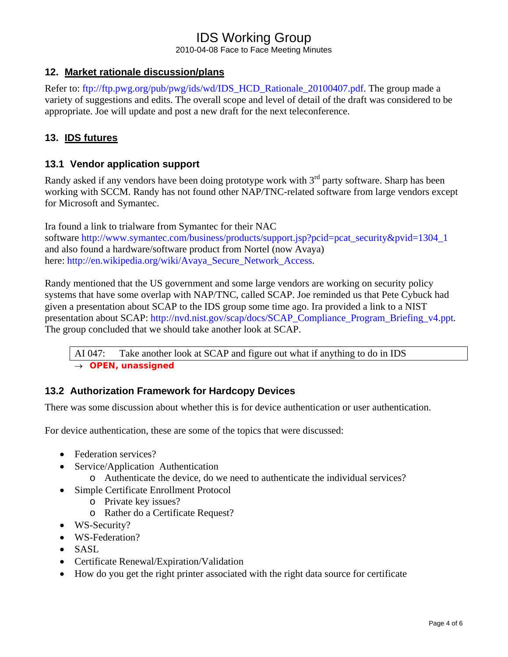2010-04-08 Face to Face Meeting Minutes

## **12. Market rationale discussion/plans**

Refer to: [ftp://ftp.pwg.org/pub/pwg/ids/wd/IDS\\_HCD\\_Rationale\\_20100407.pdf](ftp://ftp.pwg.org/pub/pwg/ids/wd/IDS_HCD_Rationale_20100407.pdf). The group made a variety of suggestions and edits. The overall scope and level of detail of the draft was considered to be appropriate. Joe will update and post a new draft for the next teleconference.

## **13. IDS futures**

### **13.1 Vendor application support**

Randy asked if any vendors have been doing prototype work with  $3<sup>rd</sup>$  party software. Sharp has been working with SCCM. Randy has not found other NAP/TNC-related software from large vendors except for Microsoft and Symantec.

Ira found a link to trialware from Symantec for their NAC software [http://www.symantec.com/business/products/support.jsp?pcid=pcat\\_security&pvid=1304\\_1](http://www.symantec.com/business/products/support.jsp?pcid=pcat_security&pvid=1304_1) and also found a hardware/software product from Nortel (now Avaya) here: [http://en.wikipedia.org/wiki/Avaya\\_Secure\\_Network\\_Access](http://en.wikipedia.org/wiki/Avaya_Secure_Network_Access).

Randy mentioned that the US government and some large vendors are working on security policy systems that have some overlap with NAP/TNC, called SCAP. Joe reminded us that Pete Cybuck had given a presentation about SCAP to the IDS group some time ago. Ira provided a link to a NIST presentation about SCAP: [http://nvd.nist.gov/scap/docs/SCAP\\_Compliance\\_Program\\_Briefing\\_v4.ppt.](http://nvd.nist.gov/scap/docs/SCAP_Compliance_Program_Briefing_v4.ppt) The group concluded that we should take another look at SCAP.

AI 047: Take another look at SCAP and figure out what if anything to do in IDS → *OPEN, unassigned* 

## **13.2 Authorization Framework for Hardcopy Devices**

There was some discussion about whether this is for device authentication or user authentication.

For device authentication, these are some of the topics that were discussed:

- Federation services?
- Service/Application Authentication
	- o Authenticate the device, do we need to authenticate the individual services?
- Simple Certificate Enrollment Protocol
	- o Private key issues?
	- o Rather do a Certificate Request?
- WS-Security?
- WS-Federation?
- SASL
- Certificate Renewal/Expiration/Validation
- How do you get the right printer associated with the right data source for certificate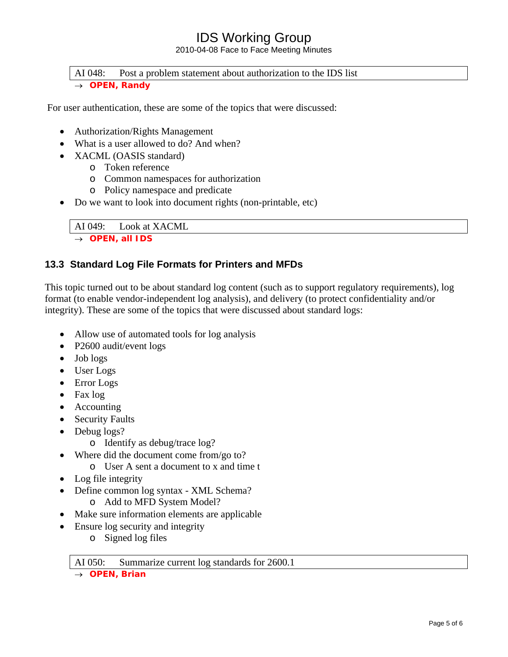2010-04-08 Face to Face Meeting Minutes

#### AI 048: Post a problem statement about authorization to the IDS list → *OPEN, Randy*

For user authentication, these are some of the topics that were discussed:

- Authorization/Rights Management
- What is a user allowed to do? And when?
- XACML (OASIS standard)
	- o Token reference
	- o Common namespaces for authorization
	- o Policy namespace and predicate
- Do we want to look into document rights (non-printable, etc)

AI 049: Look at XACML → *OPEN, all IDS* 

## **13.3 Standard Log File Formats for Printers and MFDs**

This topic turned out to be about standard log content (such as to support regulatory requirements), log format (to enable vendor-independent log analysis), and delivery (to protect confidentiality and/or integrity). These are some of the topics that were discussed about standard logs:

- Allow use of automated tools for log analysis
- P2600 audit/event logs
- Job logs
- User Logs
- Error Logs
- Fax log
- Accounting
- Security Faults
- Debug logs?
	- o Identify as debug/trace log?
- Where did the document come from/go to?
	- o User A sent a document to x and time t
- Log file integrity
- Define common log syntax XML Schema? o Add to MFD System Model?
- Make sure information elements are applicable
- Ensure log security and integrity
	- o Signed log files

AI 050: Summarize current log standards for 2600.1

→ *OPEN, Brian*